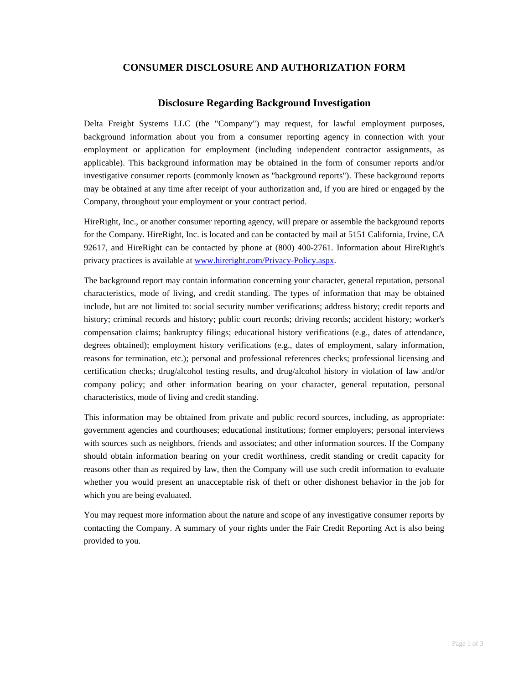## **CONSUMER DISCLOSURE AND AUTHORIZATION FORM**

## **Disclosure Regarding Background Investigation**

Delta Freight Systems LLC (the "Company") may request, for lawful employment purposes, background information about you from a consumer reporting agency in connection with your employment or application for employment (including independent contractor assignments, as applicable). This background information may be obtained in the form of consumer reports and/or investigative consumer reports (commonly known as "background reports"). These background reports may be obtained at any time after receipt of your authorization and, if you are hired or engaged by the Company, throughout your employment or your contract period.

HireRight, Inc., or another consumer reporting agency, will prepare or assemble the background reports for the Company. HireRight, Inc. is located and can be contacted by mail at 5151 California, Irvine, CA 92617, and HireRight can be contacted by phone at (800) 400-2761. Information about HireRight's privacy practices is available at [www.hireright.com/Privacy-Policy.aspx.](http://www.hireright.com/Privacy-Policy.aspx)

The background report may contain information concerning your character, general reputation, personal characteristics, mode of living, and credit standing. The types of information that may be obtained include, but are not limited to: social security number verifications; address history; credit reports and history; criminal records and history; public court records; driving records; accident history; worker's compensation claims; bankruptcy filings; educational history verifications (e.g., dates of attendance, degrees obtained); employment history verifications (e.g., dates of employment, salary information, reasons for termination, etc.); personal and professional references checks; professional licensing and certification checks; drug/alcohol testing results, and drug/alcohol history in violation of law and/or company policy; and other information bearing on your character, general reputation, personal characteristics, mode of living and credit standing.

This information may be obtained from private and public record sources, including, as appropriate: government agencies and courthouses; educational institutions; former employers; personal interviews with sources such as neighbors, friends and associates; and other information sources. If the Company should obtain information bearing on your credit worthiness, credit standing or credit capacity for reasons other than as required by law, then the Company will use such credit information to evaluate whether you would present an unacceptable risk of theft or other dishonest behavior in the job for which you are being evaluated.

You may request more information about the nature and scope of any investigative consumer reports by contacting the Company. A summary of your rights under the Fair Credit Reporting Act is also being provided to you.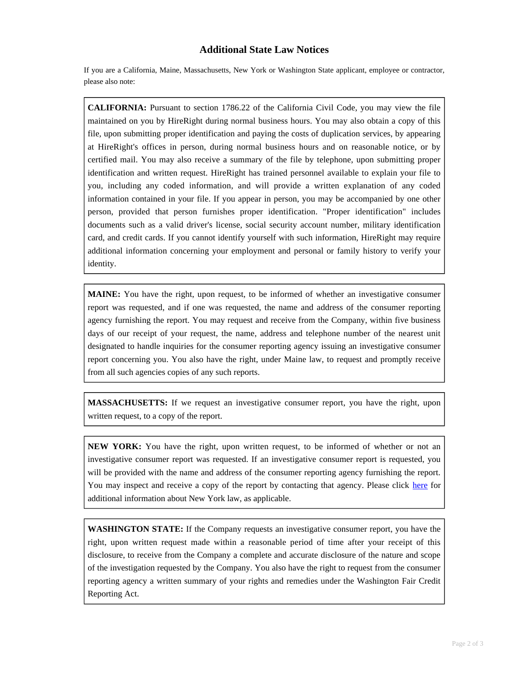## **Additional State Law Notices**

If you are a California, Maine, Massachusetts, New York or Washington State applicant, employee or contractor, please also note:

**CALIFORNIA:** Pursuant to section 1786.22 of the California Civil Code, you may view the file maintained on you by HireRight during normal business hours. You may also obtain a copy of this file, upon submitting proper identification and paying the costs of duplication services, by appearing at HireRight's offices in person, during normal business hours and on reasonable notice, or by certified mail. You may also receive a summary of the file by telephone, upon submitting proper identification and written request. HireRight has trained personnel available to explain your file to you, including any coded information, and will provide a written explanation of any coded information contained in your file. If you appear in person, you may be accompanied by one other person, provided that person furnishes proper identification. "Proper identification" includes documents such as a valid driver's license, social security account number, military identification card, and credit cards. If you cannot identify yourself with such information, HireRight may require additional information concerning your employment and personal or family history to verify your identity.

**MAINE:** You have the right, upon request, to be informed of whether an investigative consumer report was requested, and if one was requested, the name and address of the consumer reporting agency furnishing the report. You may request and receive from the Company, within five business days of our receipt of your request, the name, address and telephone number of the nearest unit designated to handle inquiries for the consumer reporting agency issuing an investigative consumer report concerning you. You also have the right, under Maine law, to request and promptly receive from all such agencies copies of any such reports.

**MASSACHUSETTS:** If we request an investigative consumer report, you have the right, upon written request, to a copy of the report.

**NEW YORK:** You have the right, upon written request, to be informed of whether or not an investigative consumer report was requested. If an investigative consumer report is requested, you will be provided with the name and address of the consumer reporting agency furnishing the report. You may inspect and receive a copy of the report by contacting that agency. Please click [here](https://www.HireRight.com/NY_Article_23_A.pdf?enable_url=true) for additional information about New York law, as applicable.

**WASHINGTON STATE:** If the Company requests an investigative consumer report, you have the right, upon written request made within a reasonable period of time after your receipt of this disclosure, to receive from the Company a complete and accurate disclosure of the nature and scope of the investigation requested by the Company. You also have the right to request from the consumer reporting agency a written summary of your rights and remedies under the Washington Fair Credit Reporting Act.